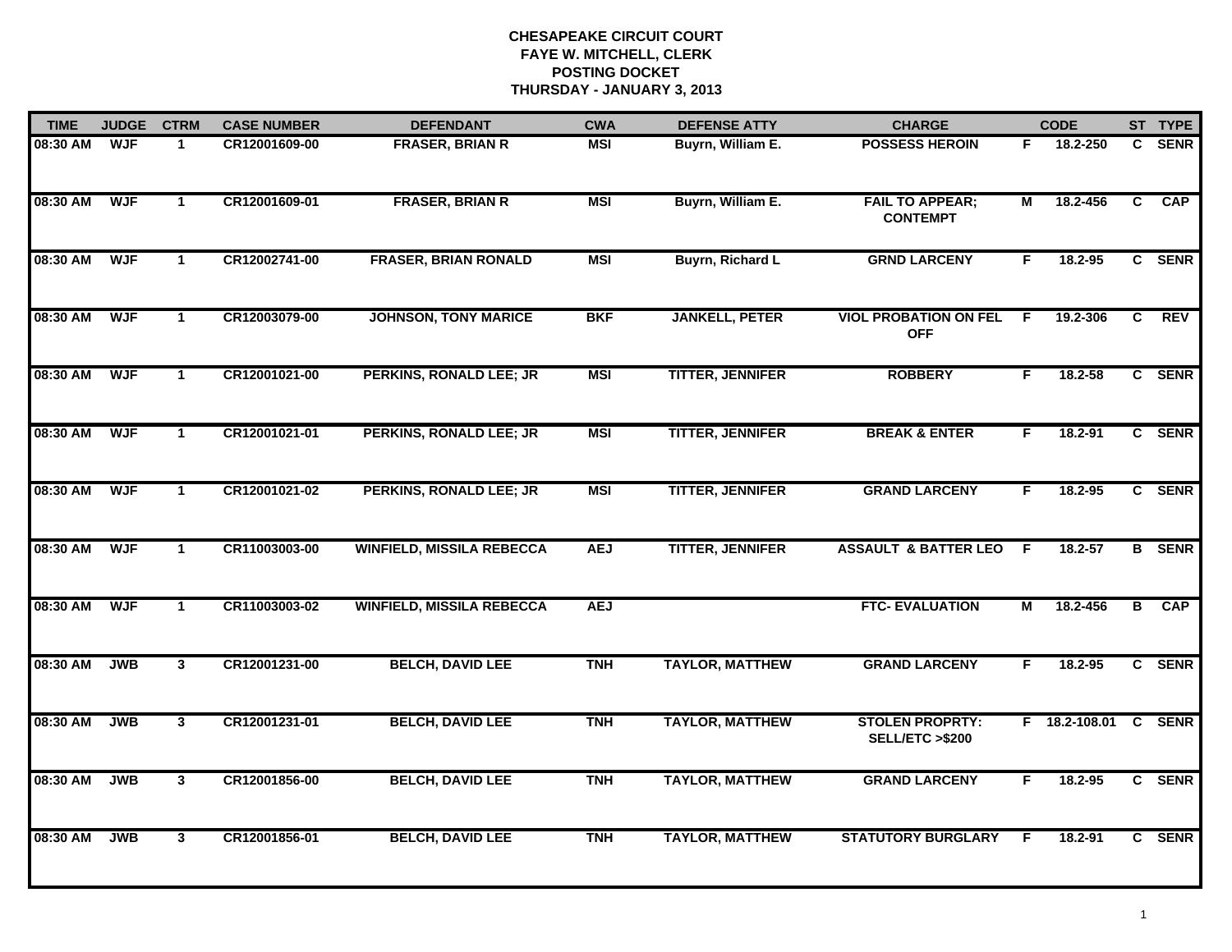| <b>TIME</b> | <b>JUDGE</b> | <b>CTRM</b>    | <b>CASE NUMBER</b> | <b>DEFENDANT</b>                 | <b>CWA</b> | <b>DEFENSE ATTY</b>     | <b>CHARGE</b>                              |    | <b>CODE</b>          |                | ST TYPE       |
|-------------|--------------|----------------|--------------------|----------------------------------|------------|-------------------------|--------------------------------------------|----|----------------------|----------------|---------------|
| 08:30 AM    | <b>WJF</b>   | -1             | CR12001609-00      | <b>FRASER, BRIAN R</b>           | <b>MSI</b> | Buyrn, William E.       | <b>POSSESS HEROIN</b>                      | F. | 18.2-250             |                | C SENR        |
| 08:30 AM    | <b>WJF</b>   | $\mathbf{1}$   | CR12001609-01      | <b>FRASER, BRIAN R</b>           | <b>MSI</b> | Buyrn, William E.       | <b>FAIL TO APPEAR;</b><br><b>CONTEMPT</b>  | М  | 18.2-456             | $\overline{c}$ | <b>CAP</b>    |
| 08:30 AM    | <b>WJF</b>   | $\mathbf{1}$   | CR12002741-00      | <b>FRASER, BRIAN RONALD</b>      | <b>MSI</b> | Buyrn, Richard L        | <b>GRND LARCENY</b>                        | F  | 18.2-95              |                | C SENR        |
| 08:30 AM    | <b>WJF</b>   | $\mathbf 1$    | CR12003079-00      | <b>JOHNSON, TONY MARICE</b>      | <b>BKF</b> | <b>JANKELL, PETER</b>   | <b>VIOL PROBATION ON FEL</b><br><b>OFF</b> | -F | 19.2-306             | C              | <b>REV</b>    |
| 08:30 AM    | <b>WJF</b>   | $\mathbf{1}$   | CR12001021-00      | PERKINS, RONALD LEE; JR          | <b>MSI</b> | <b>TITTER, JENNIFER</b> | <b>ROBBERY</b>                             | F. | $18.2 - 58$          |                | C SENR        |
| 08:30 AM    | <b>WJF</b>   | $\mathbf 1$    | CR12001021-01      | PERKINS, RONALD LEE; JR          | <b>MSI</b> | <b>TITTER, JENNIFER</b> | <b>BREAK &amp; ENTER</b>                   | F. | 18.2-91              |                | C SENR        |
| 08:30 AM    | <b>WJF</b>   | $\mathbf{1}$   | CR12001021-02      | PERKINS, RONALD LEE; JR          | <b>MSI</b> | <b>TITTER, JENNIFER</b> | <b>GRAND LARCENY</b>                       | F  | 18.2-95              |                | C SENR        |
| 08:30 AM    | <b>WJF</b>   | $\mathbf{1}$   | CR11003003-00      | <b>WINFIELD, MISSILA REBECCA</b> | <b>AEJ</b> | <b>TITTER, JENNIFER</b> | <b>ASSAULT &amp; BATTER LEO</b>            | -F | 18.2-57              |                | <b>B</b> SENR |
| 08:30 AM    | <b>WJF</b>   | $\mathbf 1$    | CR11003003-02      | <b>WINFIELD, MISSILA REBECCA</b> | <b>AEJ</b> |                         | <b>FTC- EVALUATION</b>                     | М  | 18.2-456             | В              | <b>CAP</b>    |
| 08:30 AM    | <b>JWB</b>   | 3 <sup>1</sup> | CR12001231-00      | <b>BELCH, DAVID LEE</b>          | <b>TNH</b> | <b>TAYLOR, MATTHEW</b>  | <b>GRAND LARCENY</b>                       | F. | 18.2-95              |                | C SENR        |
| 08:30 AM    | <b>JWB</b>   | 3 <sup>1</sup> | CR12001231-01      | <b>BELCH, DAVID LEE</b>          | <b>TNH</b> | <b>TAYLOR, MATTHEW</b>  | <b>STOLEN PROPRTY:</b><br>SELL/ETC >\$200  |    | F 18.2-108.01 C SENR |                |               |
| 08:30 AM    | <b>JWB</b>   | 3 <sup>1</sup> | CR12001856-00      | <b>BELCH, DAVID LEE</b>          | <b>TNH</b> | <b>TAYLOR, MATTHEW</b>  | <b>GRAND LARCENY</b>                       | F. | 18.2-95              |                | C SENR        |
| 08:30 AM    | <b>JWB</b>   | 3              | CR12001856-01      | <b>BELCH, DAVID LEE</b>          | <b>TNH</b> | <b>TAYLOR, MATTHEW</b>  | <b>STATUTORY BURGLARY</b>                  | E  | 18.2-91              |                | C SENR        |
|             |              |                |                    |                                  |            |                         |                                            |    |                      |                |               |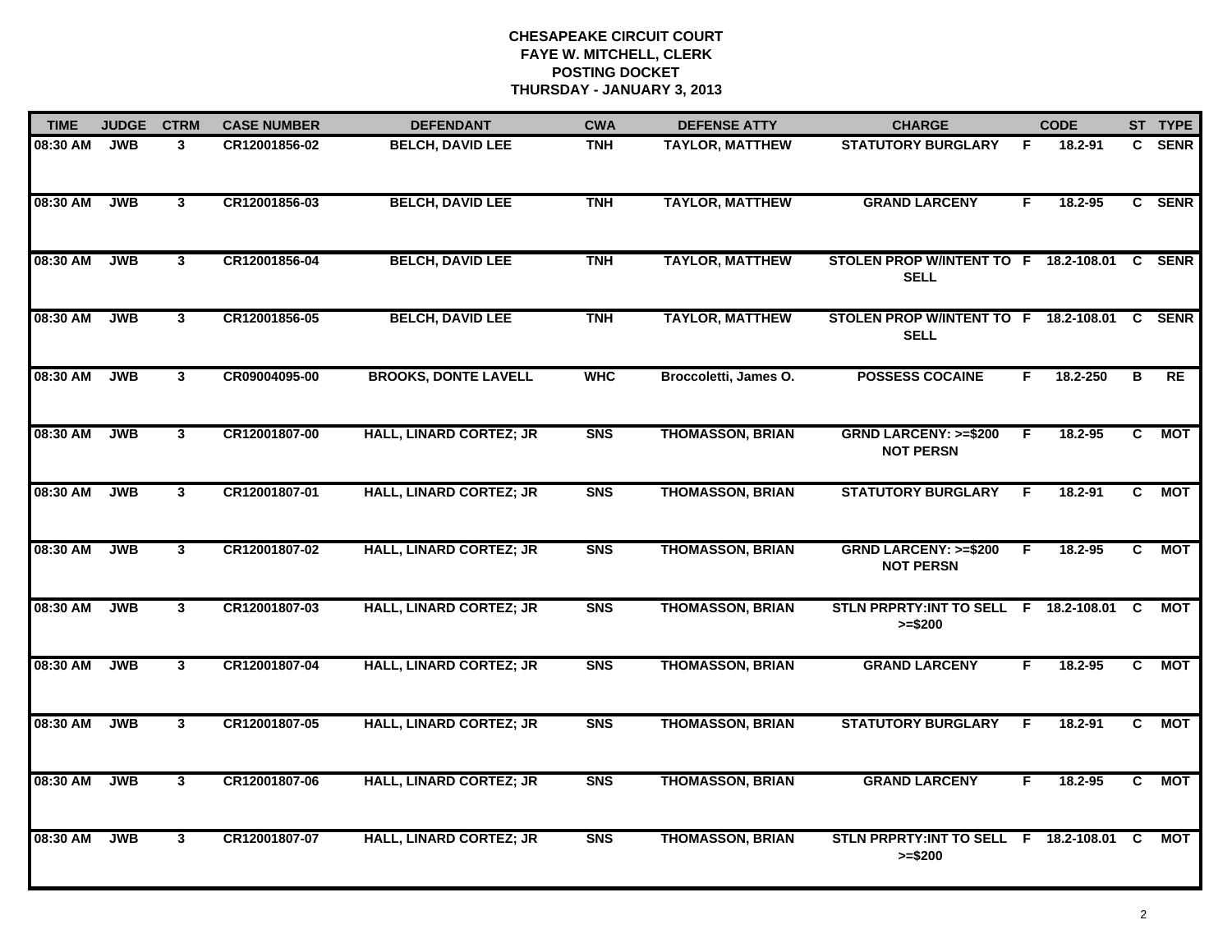| <b>TIME</b> | <b>JUDGE</b> | <b>CTRM</b>             | <b>CASE NUMBER</b> | <b>DEFENDANT</b>               | <b>CWA</b>     | <b>DEFENSE ATTY</b>     | <b>CHARGE</b>                                          |    | <b>CODE</b> |                | ST TYPE     |
|-------------|--------------|-------------------------|--------------------|--------------------------------|----------------|-------------------------|--------------------------------------------------------|----|-------------|----------------|-------------|
| 08:30 AM    | <b>JWB</b>   | 3                       | CR12001856-02      | <b>BELCH, DAVID LEE</b>        | <b>TNH</b>     | <b>TAYLOR, MATTHEW</b>  | <b>STATUTORY BURGLARY</b>                              | E  | 18.2-91     | C.             | <b>SENR</b> |
| 08:30 AM    | <b>JWB</b>   | 3 <sup>1</sup>          | CR12001856-03      | <b>BELCH, DAVID LEE</b>        | <b>TNH</b>     | <b>TAYLOR, MATTHEW</b>  | <b>GRAND LARCENY</b>                                   | F. | 18.2-95     |                | C SENR      |
| 08:30 AM    | <b>JWB</b>   | $\overline{3}$          | CR12001856-04      | <b>BELCH, DAVID LEE</b>        | <b>TNH</b>     | <b>TAYLOR, MATTHEW</b>  | STOLEN PROP W/INTENT TO F 18.2-108.01<br><b>SELL</b>   |    |             |                | C SENR      |
| 08:30 AM    | <b>JWB</b>   | $\mathbf{3}$            | CR12001856-05      | <b>BELCH, DAVID LEE</b>        | <b>TNH</b>     | <b>TAYLOR, MATTHEW</b>  | STOLEN PROP W/INTENT TO F 18.2-108.01 C<br><b>SELL</b> |    |             |                | <b>SENR</b> |
| 08:30 AM    | <b>JWB</b>   | $\mathbf{3}$            | CR09004095-00      | <b>BROOKS, DONTE LAVELL</b>    | <b>WHC</b>     | Broccoletti, James O.   | <b>POSSESS COCAINE</b>                                 | F. | 18.2-250    | в              | <b>RE</b>   |
| 08:30 AM    | <b>JWB</b>   | $\mathbf{3}$            | CR12001807-00      | <b>HALL, LINARD CORTEZ; JR</b> | <b>SNS</b>     | <b>THOMASSON, BRIAN</b> | <b>GRND LARCENY: &gt;=\$200</b><br><b>NOT PERSN</b>    | F. | 18.2-95     | $\overline{c}$ | <b>MOT</b>  |
| 08:30 AM    | <b>JWB</b>   | $\overline{\mathbf{3}}$ | CR12001807-01      | <b>HALL, LINARD CORTEZ; JR</b> | <b>SNS</b>     | <b>THOMASSON, BRIAN</b> | <b>STATUTORY BURGLARY</b>                              | F. | 18.2-91     | $\overline{c}$ | <b>MOT</b>  |
| 08:30 AM    | <b>JWB</b>   | $\mathbf{3}$            | CR12001807-02      | <b>HALL, LINARD CORTEZ; JR</b> | <b>SNS</b>     | <b>THOMASSON, BRIAN</b> | <b>GRND LARCENY: &gt;=\$200</b><br><b>NOT PERSN</b>    | F. | 18.2-95     | C              | <b>MOT</b>  |
| 08:30 AM    | <b>JWB</b>   | $\mathbf{3}$            | CR12001807-03      | <b>HALL, LINARD CORTEZ; JR</b> | S <sub>N</sub> | <b>THOMASSON, BRIAN</b> | STLN PRPRTY: INT TO SELL F 18.2-108.01<br>$>= $200$    |    |             | C.             | МОТ         |
| 08:30 AM    | <b>JWB</b>   | 3 <sup>1</sup>          | CR12001807-04      | <b>HALL, LINARD CORTEZ; JR</b> | S <sub>N</sub> | <b>THOMASSON, BRIAN</b> | <b>GRAND LARCENY</b>                                   | F  | $18.2 - 95$ | C.             | <b>MOT</b>  |
| 08:30 AM    | <b>JWB</b>   | $\mathbf{3}$            | CR12001807-05      | <b>HALL, LINARD CORTEZ; JR</b> | <b>SNS</b>     | <b>THOMASSON, BRIAN</b> | <b>STATUTORY BURGLARY</b>                              | E  | $18.2 - 91$ | C              | <b>MOT</b>  |
| 08:30 AM    | <b>JWB</b>   | $\overline{3}$          | CR12001807-06      | <b>HALL, LINARD CORTEZ; JR</b> | <b>SNS</b>     | <b>THOMASSON, BRIAN</b> | <b>GRAND LARCENY</b>                                   | F  | 18.2-95     | $\overline{c}$ | <b>MOT</b>  |
| 08:30 AM    | <b>JWB</b>   | $\mathbf{3}$            | CR12001807-07      | <b>HALL, LINARD CORTEZ; JR</b> | <b>SNS</b>     | <b>THOMASSON, BRIAN</b> | STLN PRPRTY: INT TO SELL F 18.2-108.01<br>$>= $200$    |    |             | <b>C</b>       | <b>MOT</b>  |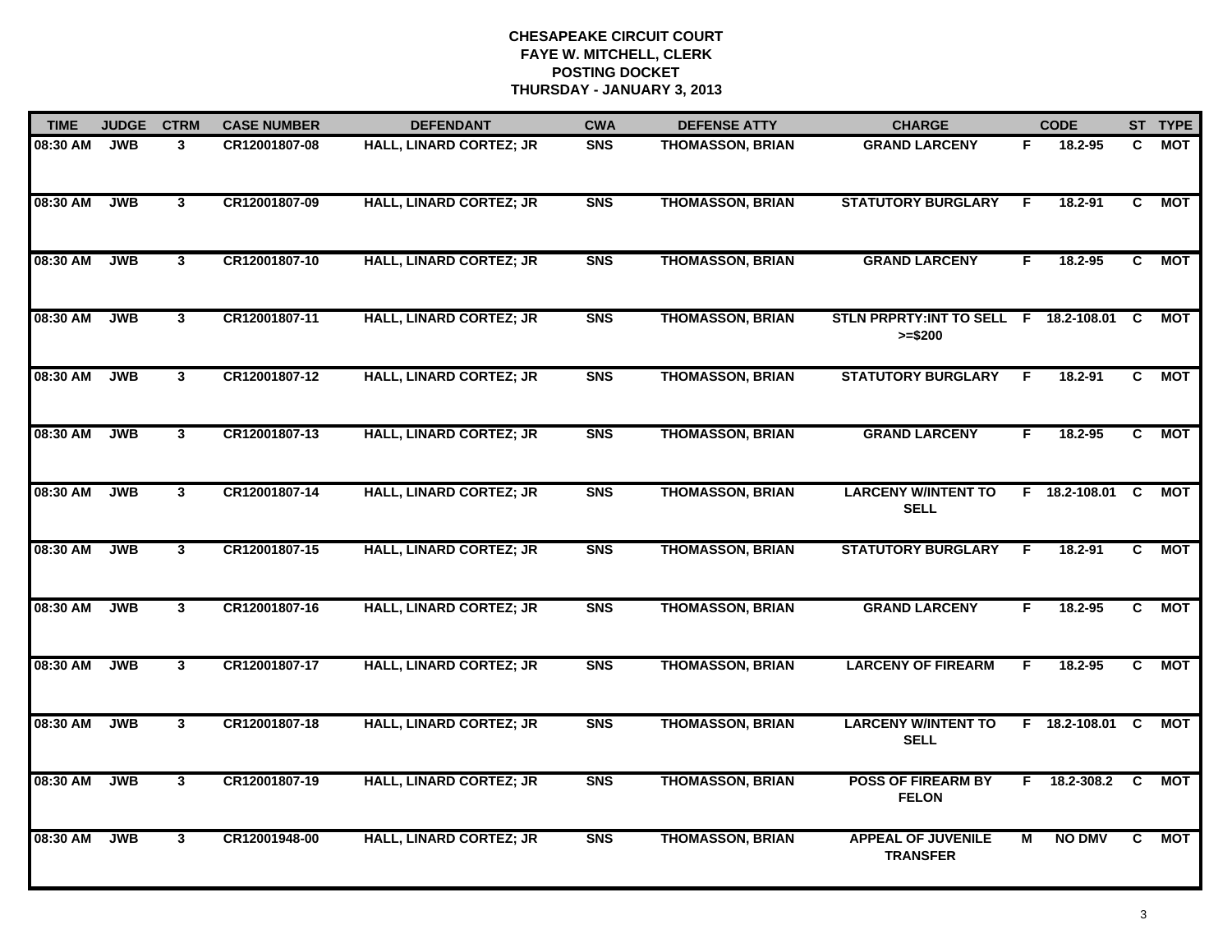| <b>TIME</b> | <b>JUDGE</b> | <b>CTRM</b>    | <b>CASE NUMBER</b> | <b>DEFENDANT</b>               | <b>CWA</b>     | <b>DEFENSE ATTY</b>     | <b>CHARGE</b>                                         |    | <b>CODE</b>     |                         | ST TYPE    |
|-------------|--------------|----------------|--------------------|--------------------------------|----------------|-------------------------|-------------------------------------------------------|----|-----------------|-------------------------|------------|
| 08:30 AM    | <b>JWB</b>   | 3              | CR12001807-08      | HALL, LINARD CORTEZ; JR        | <b>SNS</b>     | <b>THOMASSON, BRIAN</b> | <b>GRAND LARCENY</b>                                  | F. | 18.2-95         | C                       | <b>MOT</b> |
| 08:30 AM    | <b>JWB</b>   | 3 <sup>1</sup> | CR12001807-09      | <b>HALL, LINARD CORTEZ; JR</b> | <b>SNS</b>     | <b>THOMASSON, BRIAN</b> | <b>STATUTORY BURGLARY</b>                             | F. | $18.2 - 91$     | C                       | <b>MOT</b> |
| 08:30 AM    | <b>JWB</b>   | $\mathbf{3}$   | CR12001807-10      | <b>HALL, LINARD CORTEZ; JR</b> | <b>SNS</b>     | <b>THOMASSON, BRIAN</b> | <b>GRAND LARCENY</b>                                  | F. | 18.2-95         | C                       | <b>MOT</b> |
| 08:30 AM    | <b>JWB</b>   | $\mathbf{3}$   | CR12001807-11      | <b>HALL, LINARD CORTEZ; JR</b> | <b>SNS</b>     | <b>THOMASSON, BRIAN</b> | STLN PRPRTY: INT TO SELL F 18.2-108.01 C<br>$>= $200$ |    |                 |                         | МОТ        |
| 08:30 AM    | <b>JWB</b>   | $\mathbf{3}$   | CR12001807-12      | <b>HALL, LINARD CORTEZ; JR</b> | <b>SNS</b>     | <b>THOMASSON, BRIAN</b> | <b>STATUTORY BURGLARY</b>                             | E  | 18.2-91         | C.                      | МОТ        |
| 08:30 AM    | <b>JWB</b>   | $\overline{3}$ | CR12001807-13      | <b>HALL, LINARD CORTEZ; JR</b> | <b>SNS</b>     | <b>THOMASSON, BRIAN</b> | <b>GRAND LARCENY</b>                                  | F. | 18.2-95         | $\overline{\mathbf{c}}$ | <b>MOT</b> |
| 08:30 AM    | <b>JWB</b>   | $\mathbf{3}$   | CR12001807-14      | <b>HALL, LINARD CORTEZ; JR</b> | <b>SNS</b>     | <b>THOMASSON, BRIAN</b> | <b>LARCENY W/INTENT TO</b><br><b>SELL</b>             |    | F 18.2-108.01 C |                         | <b>MOT</b> |
| 08:30 AM    | <b>JWB</b>   | $\overline{3}$ | CR12001807-15      | <b>HALL, LINARD CORTEZ; JR</b> | <b>SNS</b>     | <b>THOMASSON, BRIAN</b> | <b>STATUTORY BURGLARY</b>                             | E  | 18.2-91         | $\overline{c}$          | <b>MOT</b> |
| 08:30 AM    | <b>JWB</b>   | $\mathbf{3}$   | CR12001807-16      | <b>HALL, LINARD CORTEZ; JR</b> | S <sub>N</sub> | <b>THOMASSON, BRIAN</b> | <b>GRAND LARCENY</b>                                  | F  | $18.2 - 95$     | C                       | <b>MOT</b> |
| 08:30 AM    | <b>JWB</b>   | $\mathbf{3}$   | CR12001807-17      | <b>HALL, LINARD CORTEZ; JR</b> | S <sub>N</sub> | <b>THOMASSON, BRIAN</b> | <b>LARCENY OF FIREARM</b>                             | F  | 18.2-95         | C.                      | <b>MOT</b> |
| 08:30 AM    | <b>JWB</b>   | 3 <sup>1</sup> | CR12001807-18      | <b>HALL, LINARD CORTEZ; JR</b> | <b>SNS</b>     | <b>THOMASSON, BRIAN</b> | <b>LARCENY W/INTENT TO</b><br><b>SELL</b>             |    | F 18.2-108.01 C |                         | <b>MOT</b> |
| 08:30 AM    | <b>JWB</b>   | 3 <sup>1</sup> | CR12001807-19      | <b>HALL, LINARD CORTEZ; JR</b> | <b>SNS</b>     | <b>THOMASSON, BRIAN</b> | <b>POSS OF FIREARM BY</b><br><b>FELON</b>             | F. | 18.2-308.2 C    |                         | МОТ        |
| 08:30 AM    | <b>JWB</b>   | $\mathbf{3}$   | CR12001948-00      | <b>HALL, LINARD CORTEZ; JR</b> | <b>SNS</b>     | <b>THOMASSON, BRIAN</b> | <b>APPEAL OF JUVENILE</b><br><b>TRANSFER</b>          | м  | <b>NO DMV</b>   | C                       | <b>MOT</b> |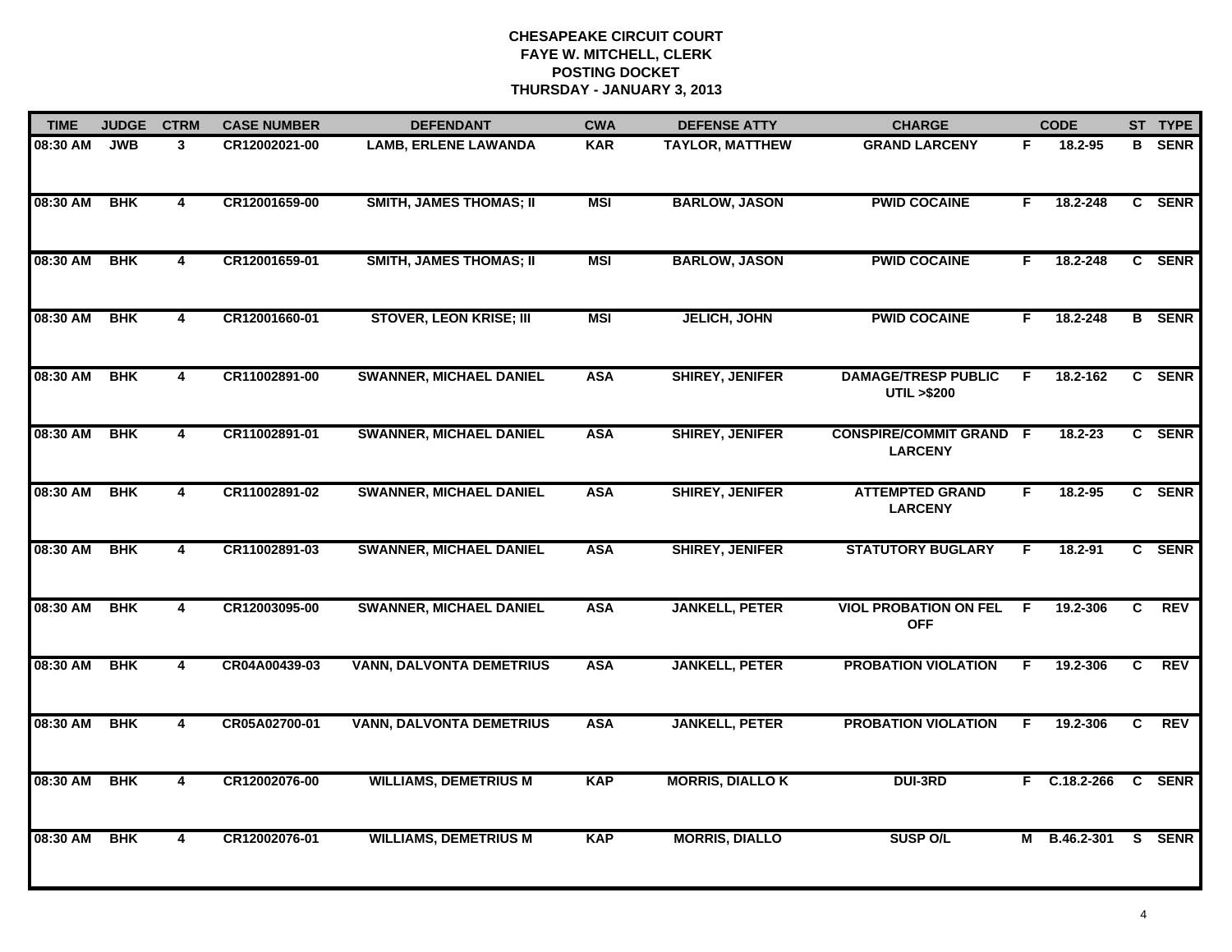| <b>TIME</b> | <b>JUDGE</b> | <b>CTRM</b>             | <b>CASE NUMBER</b> | <b>DEFENDANT</b>                | <b>CWA</b> | <b>DEFENSE ATTY</b>     | <b>CHARGE</b>                                       |     | <b>CODE</b>         |   | ST TYPE       |
|-------------|--------------|-------------------------|--------------------|---------------------------------|------------|-------------------------|-----------------------------------------------------|-----|---------------------|---|---------------|
| 08:30 AM    | <b>JWB</b>   | 3                       | CR12002021-00      | <b>LAMB, ERLENE LAWANDA</b>     | <b>KAR</b> | <b>TAYLOR, MATTHEW</b>  | <b>GRAND LARCENY</b>                                | F.  | 18.2-95             | B | <b>SENR</b>   |
| 08:30 AM    | <b>BHK</b>   | 4                       | CR12001659-00      | <b>SMITH, JAMES THOMAS; II</b>  | <b>MSI</b> | <b>BARLOW, JASON</b>    | <b>PWID COCAINE</b>                                 | F.  | 18.2-248            |   | C SENR        |
| 08:30 AM    | <b>BHK</b>   | $\overline{4}$          | CR12001659-01      | <b>SMITH, JAMES THOMAS; II</b>  | <b>MSI</b> | <b>BARLOW, JASON</b>    | <b>PWID COCAINE</b>                                 | F   | 18.2-248            |   | C SENR        |
| 08:30 AM    | <b>BHK</b>   | 4                       | CR12001660-01      | <b>STOVER, LEON KRISE; III</b>  | <b>MSI</b> | <b>JELICH, JOHN</b>     | <b>PWID COCAINE</b>                                 | F.  | 18.2-248            |   | <b>B</b> SENR |
| 08:30 AM    | <b>BHK</b>   | 4                       | CR11002891-00      | <b>SWANNER, MICHAEL DANIEL</b>  | <b>ASA</b> | <b>SHIREY, JENIFER</b>  | <b>DAMAGE/TRESP PUBLIC</b><br><b>UTIL &gt;\$200</b> | F.  | 18.2-162            |   | C SENR        |
| 08:30 AM    | <b>BHK</b>   | $\overline{\mathbf{4}}$ | CR11002891-01      | <b>SWANNER, MICHAEL DANIEL</b>  | <b>ASA</b> | <b>SHIREY, JENIFER</b>  | <b>CONSPIRE/COMMIT GRAND F</b><br><b>LARCENY</b>    |     | $18.2 - 23$         |   | C SENR        |
| 08:30 AM    | <b>BHK</b>   | $\overline{4}$          | CR11002891-02      | <b>SWANNER, MICHAEL DANIEL</b>  | <b>ASA</b> | <b>SHIREY, JENIFER</b>  | <b>ATTEMPTED GRAND</b><br><b>LARCENY</b>            | F   | 18.2-95             |   | C SENR        |
| 08:30 AM    | <b>BHK</b>   | 4                       | CR11002891-03      | <b>SWANNER, MICHAEL DANIEL</b>  | <b>ASA</b> | <b>SHIREY, JENIFER</b>  | <b>STATUTORY BUGLARY</b>                            | F.  | 18.2-91             |   | C SENR        |
| 08:30 AM    | <b>BHK</b>   | 4                       | CR12003095-00      | <b>SWANNER, MICHAEL DANIEL</b>  | <b>ASA</b> | <b>JANKELL, PETER</b>   | <b>VIOL PROBATION ON FEL</b><br><b>OFF</b>          | - F | 19.2-306            | C | <b>REV</b>    |
| 08:30 AM    | <b>BHK</b>   | 4                       | CR04A00439-03      | <b>VANN, DALVONTA DEMETRIUS</b> | <b>ASA</b> | <b>JANKELL, PETER</b>   | <b>PROBATION VIOLATION</b>                          | F   | 19.2-306            | C | <b>REV</b>    |
| 08:30 AM    | <b>BHK</b>   | 4                       | CR05A02700-01      | <b>VANN, DALVONTA DEMETRIUS</b> | <b>ASA</b> | <b>JANKELL, PETER</b>   | <b>PROBATION VIOLATION</b>                          | F.  | 19.2-306            | C | <b>REV</b>    |
| 08:30 AM    | <b>BHK</b>   | $\overline{4}$          | CR12002076-00      | <b>WILLIAMS, DEMETRIUS M</b>    | <b>KAP</b> | <b>MORRIS, DIALLO K</b> | <b>DUI-3RD</b>                                      |     | $F$ C.18.2-266      |   | C SENR        |
| 08:30 AM    | <b>BHK</b>   | 4                       | CR12002076-01      | <b>WILLIAMS, DEMETRIUS M</b>    | <b>KAP</b> | <b>MORRIS, DIALLO</b>   | <b>SUSP O/L</b>                                     |     | M B.46.2-301 S SENR |   |               |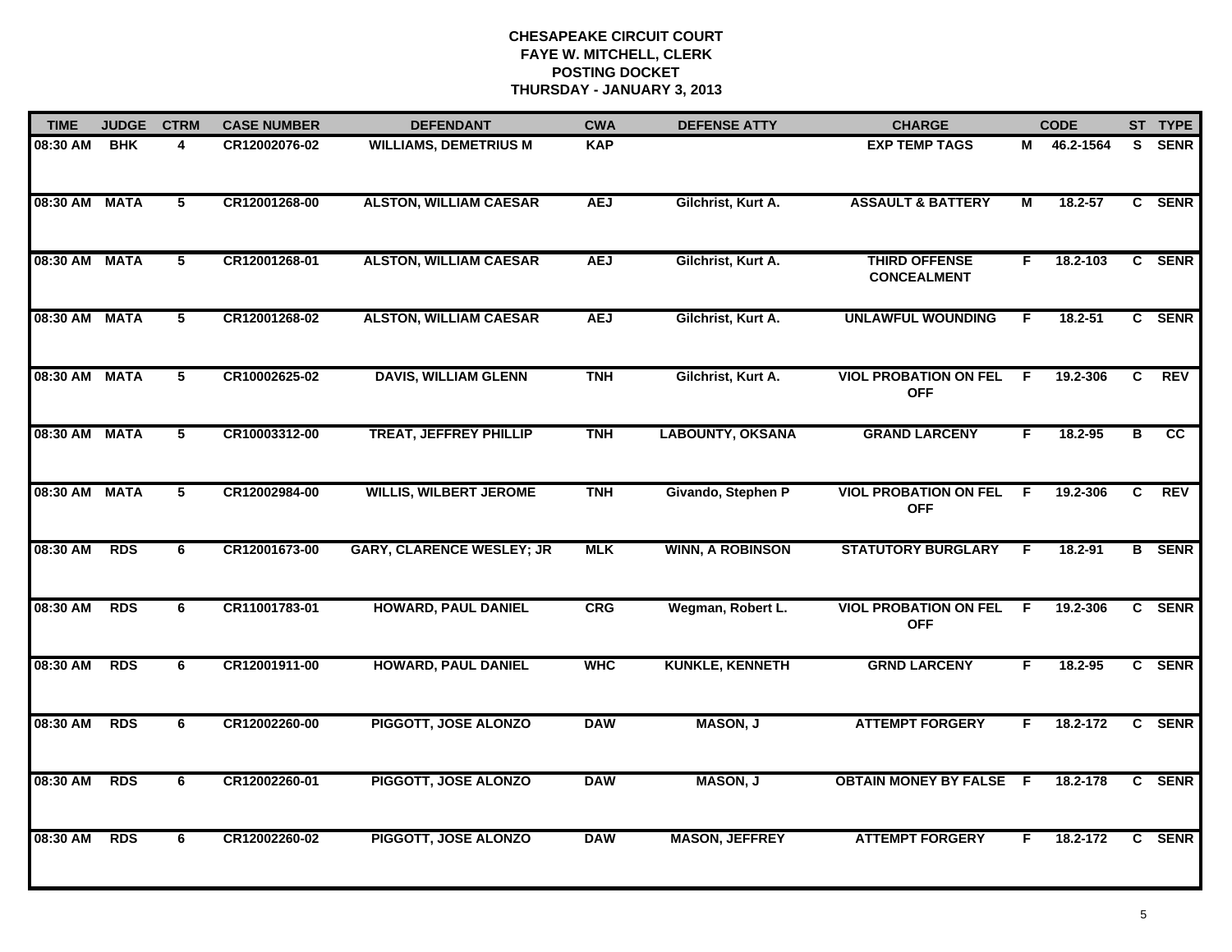| <b>TIME</b>   | <b>JUDGE</b> | <b>CTRM</b>    | <b>CASE NUMBER</b> | <b>DEFENDANT</b>                 | <b>CWA</b> | <b>DEFENSE ATTY</b>     | <b>CHARGE</b>                              |     | <b>CODE</b> |    | ST TYPE         |
|---------------|--------------|----------------|--------------------|----------------------------------|------------|-------------------------|--------------------------------------------|-----|-------------|----|-----------------|
| 08:30 AM      | <b>BHK</b>   | 4              | CR12002076-02      | <b>WILLIAMS, DEMETRIUS M</b>     | <b>KAP</b> |                         | <b>EXP TEMP TAGS</b>                       | м   | 46.2-1564   |    | S SENR          |
| 08:30 AM MATA |              | 5              | CR12001268-00      | <b>ALSTON, WILLIAM CAESAR</b>    | <b>AEJ</b> | Gilchrist, Kurt A.      | <b>ASSAULT &amp; BATTERY</b>               | М   | 18.2-57     |    | C SENR          |
| 08:30 AM MATA |              | 5              | CR12001268-01      | <b>ALSTON, WILLIAM CAESAR</b>    | <b>AEJ</b> | Gilchrist, Kurt A.      | <b>THIRD OFFENSE</b><br><b>CONCEALMENT</b> | F.  | 18.2-103    |    | C SENR          |
| 08:30 AM MATA |              | 5              | CR12001268-02      | <b>ALSTON, WILLIAM CAESAR</b>    | <b>AEJ</b> | Gilchrist, Kurt A.      | <b>UNLAWFUL WOUNDING</b>                   | F.  | 18.2-51     |    | C SENR          |
| 08:30 AM MATA |              | 5              | CR10002625-02      | <b>DAVIS, WILLIAM GLENN</b>      | <b>TNH</b> | Gilchrist, Kurt A.      | <b>VIOL PROBATION ON FEL</b><br><b>OFF</b> | F.  | 19.2-306    | C  | <b>REV</b>      |
| 08:30 AM MATA |              | 5              | CR10003312-00      | <b>TREAT, JEFFREY PHILLIP</b>    | <b>TNH</b> | <b>LABOUNTY, OKSANA</b> | <b>GRAND LARCENY</b>                       | F.  | 18.2-95     | в  | $\overline{cc}$ |
| 08:30 AM MATA |              | $\overline{5}$ | CR12002984-00      | <b>WILLIS, WILBERT JEROME</b>    | <b>TNH</b> | Givando, Stephen P      | <b>VIOL PROBATION ON FEL</b><br><b>OFF</b> | - F | 19.2-306    | C  | <b>REV</b>      |
| 08:30 AM      | <b>RDS</b>   | 6              | CR12001673-00      | <b>GARY, CLARENCE WESLEY; JR</b> | <b>MLK</b> | <b>WINN, A ROBINSON</b> | <b>STATUTORY BURGLARY</b>                  | F.  | 18.2-91     |    | <b>B</b> SENR   |
| 08:30 AM      | <b>RDS</b>   | 6              | CR11001783-01      | <b>HOWARD, PAUL DANIEL</b>       | CRG        | Wegman, Robert L.       | <b>VIOL PROBATION ON FEL</b><br><b>OFF</b> | - F | 19.2-306    |    | C SENR          |
| 08:30 AM      | <b>RDS</b>   | 6              | CR12001911-00      | <b>HOWARD, PAUL DANIEL</b>       | <b>WHC</b> | <b>KUNKLE, KENNETH</b>  | <b>GRND LARCENY</b>                        | F.  | $18.2 - 95$ |    | C SENR          |
| 08:30 AM      | <b>RDS</b>   | 6              | CR12002260-00      | PIGGOTT, JOSE ALONZO             | <b>DAW</b> | <b>MASON, J</b>         | <b>ATTEMPT FORGERY</b>                     | F.  | 18.2-172    | C. | <b>SENR</b>     |
| 08:30 AM      | <b>RDS</b>   | 6              | CR12002260-01      | PIGGOTT, JOSE ALONZO             | <b>DAW</b> | <b>MASON, J</b>         | <b>OBTAIN MONEY BY FALSE F</b>             |     | 18.2-178    |    | C SENR          |
| 08:30 AM      | <b>RDS</b>   | 6              | CR12002260-02      | PIGGOTT, JOSE ALONZO             | <b>DAW</b> | <b>MASON, JEFFREY</b>   | <b>ATTEMPT FORGERY</b>                     | F.  | 18.2-172    |    | C SENR          |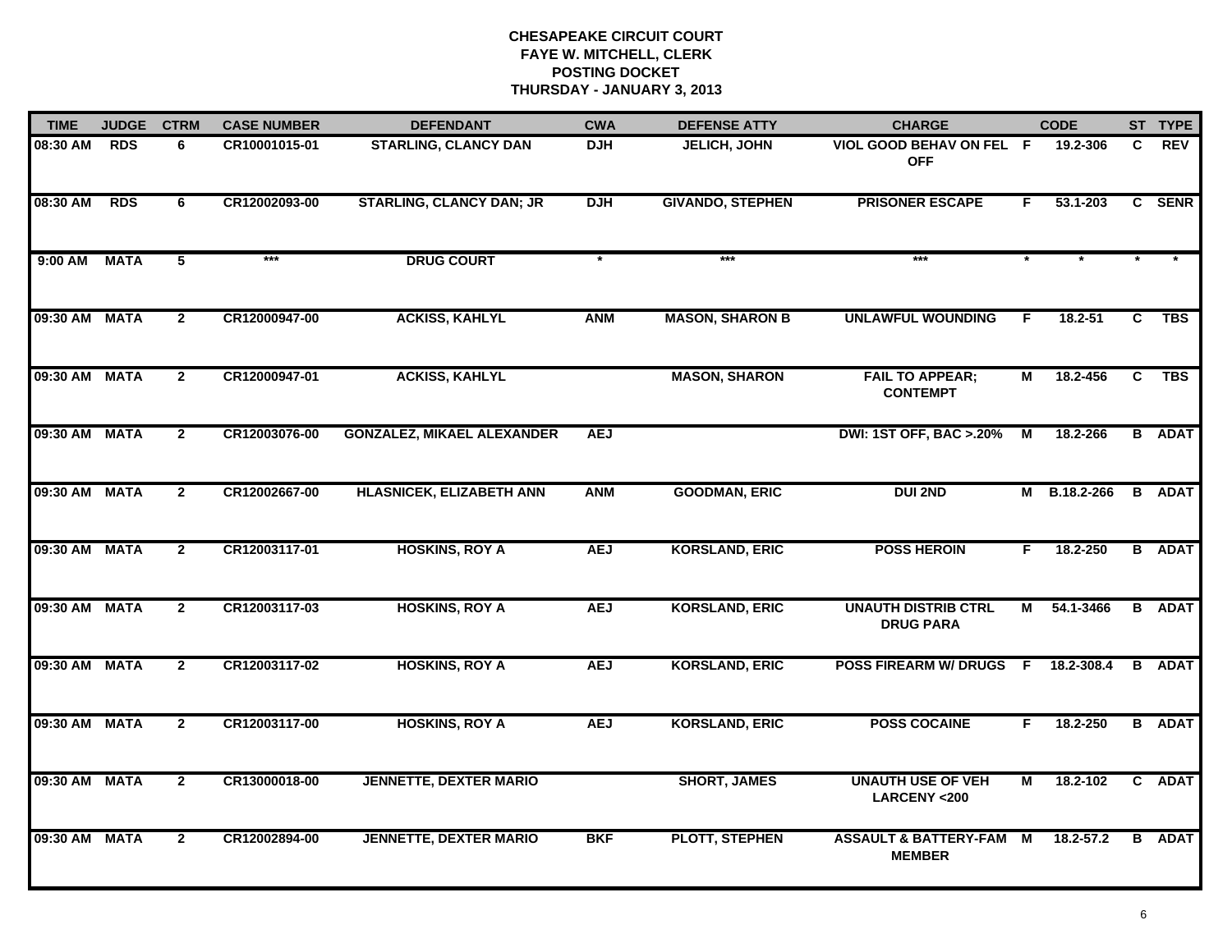| <b>TIME</b>   | <b>JUDGE</b> | <b>CTRM</b>    | <b>CASE NUMBER</b> | <b>DEFENDANT</b>                  | <b>CWA</b> | <b>DEFENSE ATTY</b>     | <b>CHARGE</b>                                       |    | <b>CODE</b>   |    | ST TYPE       |
|---------------|--------------|----------------|--------------------|-----------------------------------|------------|-------------------------|-----------------------------------------------------|----|---------------|----|---------------|
| 08:30 AM      | <b>RDS</b>   | 6              | CR10001015-01      | <b>STARLING, CLANCY DAN</b>       | <b>DJH</b> | JELICH, JOHN            | VIOL GOOD BEHAV ON FEL F<br><b>OFF</b>              |    | 19.2-306      | C. | <b>REV</b>    |
| 08:30 AM      | <b>RDS</b>   | 6              | CR12002093-00      | <b>STARLING, CLANCY DAN; JR</b>   | <b>DJH</b> | <b>GIVANDO, STEPHEN</b> | <b>PRISONER ESCAPE</b>                              | F. | 53.1-203      | C  | <b>SENR</b>   |
| 9:00 AM       | <b>MATA</b>  | 5              | ***                | <b>DRUG COURT</b>                 |            | $***$                   | $***$                                               |    |               |    |               |
| 09:30 AM MATA |              | $\overline{2}$ | CR12000947-00      | <b>ACKISS, KAHLYL</b>             | <b>ANM</b> | <b>MASON, SHARON B</b>  | <b>UNLAWFUL WOUNDING</b>                            | F. | 18.2-51       | C  | <b>TBS</b>    |
| 09:30 AM MATA |              | $\mathbf{2}$   | CR12000947-01      | <b>ACKISS, KAHLYL</b>             |            | <b>MASON, SHARON</b>    | <b>FAIL TO APPEAR;</b><br><b>CONTEMPT</b>           | м  | 18.2-456      | C  | <b>TBS</b>    |
| 09:30 AM MATA |              | $\mathbf{2}$   | CR12003076-00      | <b>GONZALEZ, MIKAEL ALEXANDER</b> | <b>AEJ</b> |                         | <b>DWI: 1ST OFF, BAC &gt; .20%</b>                  | M  | 18.2-266      |    | <b>B</b> ADAT |
| 09:30 AM MATA |              | $\overline{2}$ | CR12002667-00      | <b>HLASNICEK, ELIZABETH ANN</b>   | <b>ANM</b> | <b>GOODMAN, ERIC</b>    | <b>DUI 2ND</b>                                      |    | M B.18.2-266  |    | <b>B</b> ADAT |
| 09:30 AM MATA |              | $\overline{2}$ | CR12003117-01      | <b>HOSKINS, ROY A</b>             | <b>AEJ</b> | <b>KORSLAND, ERIC</b>   | <b>POSS HEROIN</b>                                  | F. | 18.2-250      |    | <b>B</b> ADAT |
| 09:30 AM MATA |              | $\overline{2}$ | CR12003117-03      | <b>HOSKINS, ROY A</b>             | <b>AEJ</b> | <b>KORSLAND, ERIC</b>   | <b>UNAUTH DISTRIB CTRL</b><br><b>DRUG PARA</b>      | м  | 54.1-3466     |    | <b>B</b> ADAT |
| 09:30 AM MATA |              | $\overline{2}$ | CR12003117-02      | <b>HOSKINS, ROY A</b>             | <b>AEJ</b> | <b>KORSLAND, ERIC</b>   | <b>POSS FIREARM W/ DRUGS F</b>                      |    | 18.2-308.4    |    | <b>B</b> ADAT |
| 09:30 AM MATA |              | $\mathbf{2}$   | CR12003117-00      | <b>HOSKINS, ROY A</b>             | <b>AEJ</b> | <b>KORSLAND, ERIC</b>   | <b>POSS COCAINE</b>                                 | F. | 18.2-250      |    | <b>B</b> ADAT |
| 09:30 AM MATA |              | $\overline{2}$ | CR13000018-00      | <b>JENNETTE, DEXTER MARIO</b>     |            | <b>SHORT, JAMES</b>     | <b>UNAUTH USE OF VEH</b><br><b>LARCENY &lt;200</b>  | М  | 18.2-102      |    | C ADAT        |
| 09:30 AM MATA |              | $\mathbf{2}$   | CR12002894-00      | <b>JENNETTE, DEXTER MARIO</b>     | <b>BKF</b> | <b>PLOTT, STEPHEN</b>   | <b>ASSAULT &amp; BATTERY-FAM M</b><br><b>MEMBER</b> |    | $18.2 - 57.2$ |    | <b>B</b> ADAT |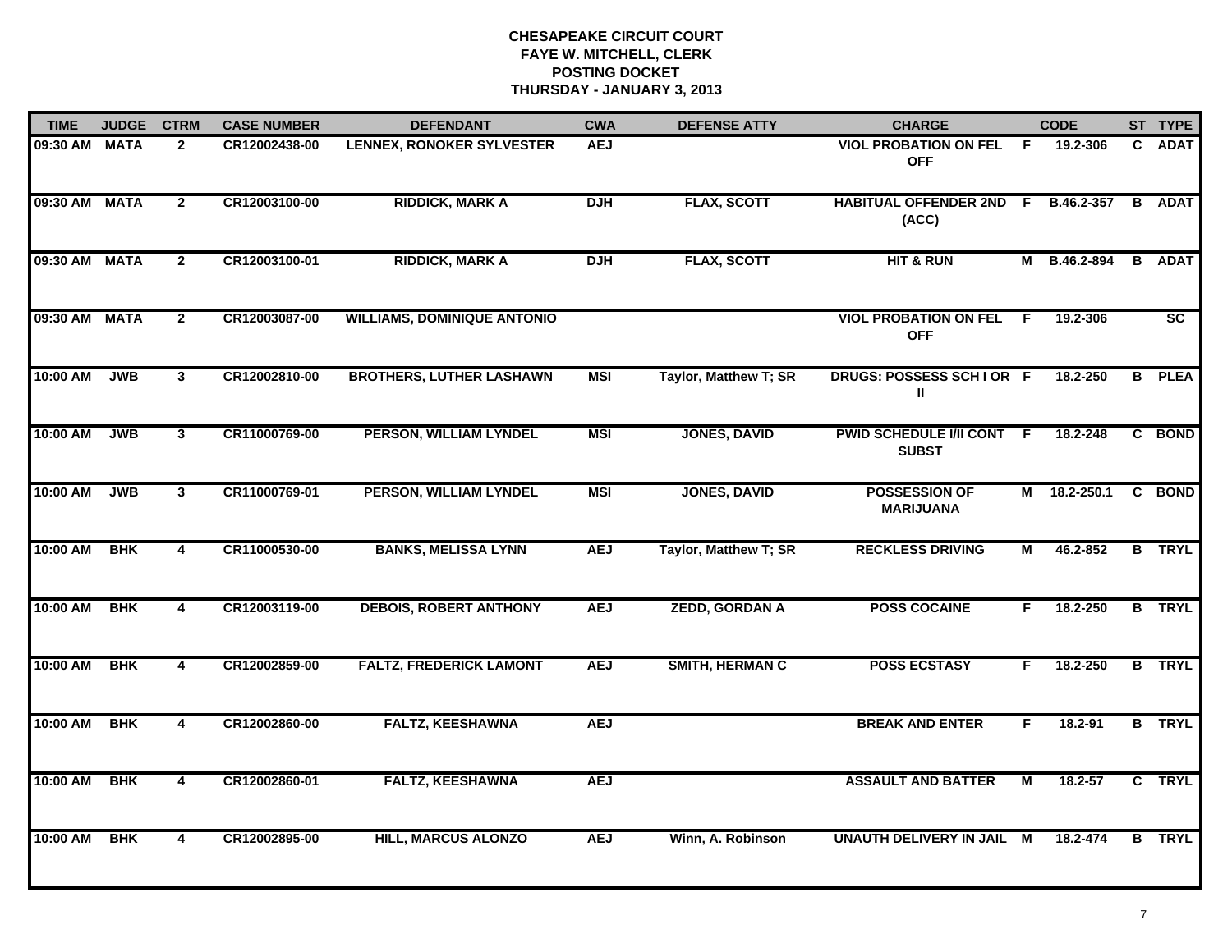| <b>TIME</b>   | <b>JUDGE</b> | <b>CTRM</b>    | <b>CASE NUMBER</b> | <b>DEFENDANT</b>                   | <b>CWA</b> | <b>DEFENSE ATTY</b>    | <b>CHARGE</b>                                |    | <b>CODE</b>  |              | ST TYPE       |
|---------------|--------------|----------------|--------------------|------------------------------------|------------|------------------------|----------------------------------------------|----|--------------|--------------|---------------|
| 09:30 AM      | <b>MATA</b>  | $\mathbf{2}$   | CR12002438-00      | <b>LENNEX, RONOKER SYLVESTER</b>   | <b>AEJ</b> |                        | <b>VIOL PROBATION ON FEL</b><br><b>OFF</b>   | -F | 19.2-306     | C.           | <b>ADAT</b>   |
| 09:30 AM      | <b>MATA</b>  | $\overline{2}$ | CR12003100-00      | <b>RIDDICK, MARK A</b>             | <b>DJH</b> | <b>FLAX, SCOTT</b>     | HABITUAL OFFENDER 2ND F B.46.2-357<br>(ACC)  |    |              |              | <b>B</b> ADAT |
| 09:30 AM MATA |              | $\mathbf{2}$   | CR12003100-01      | <b>RIDDICK, MARK A</b>             | <b>DJH</b> | <b>FLAX, SCOTT</b>     | <b>HIT &amp; RUN</b>                         |    | M B.46.2-894 | B            | <b>ADAT</b>   |
| 09:30 AM      | <b>MATA</b>  | $\mathbf{2}$   | CR12003087-00      | <b>WILLIAMS, DOMINIQUE ANTONIO</b> |            |                        | <b>VIOL PROBATION ON FEL F</b><br><b>OFF</b> |    | 19.2-306     |              | <b>SC</b>     |
| 10:00 AM      | <b>JWB</b>   | $\mathbf{3}$   | CR12002810-00      | <b>BROTHERS, LUTHER LASHAWN</b>    | <b>MSI</b> | Taylor, Matthew T; SR  | DRUGS: POSSESS SCHIOR F<br>Ш                 |    | 18.2-250     |              | <b>B</b> PLEA |
| 10:00 AM      | <b>JWB</b>   | 3 <sup>1</sup> | CR11000769-00      | PERSON, WILLIAM LYNDEL             | <b>MSI</b> | <b>JONES, DAVID</b>    | PWID SCHEDULE I/II CONT F<br><b>SUBST</b>    |    | 18.2-248     | $\mathbf{c}$ | <b>BOND</b>   |
| 10:00 AM      | <b>JWB</b>   | $\mathbf{3}$   | CR11000769-01      | PERSON, WILLIAM LYNDEL             | MSI        | <b>JONES, DAVID</b>    | <b>POSSESSION OF</b><br><b>MARIJUANA</b>     |    | M 18.2-250.1 |              | C BOND        |
| 10:00 AM      | <b>BHK</b>   | 4              | CR11000530-00      | <b>BANKS, MELISSA LYNN</b>         | <b>AEJ</b> | Taylor, Matthew T; SR  | <b>RECKLESS DRIVING</b>                      | М  | 46.2-852     |              | <b>B</b> TRYL |
| 10:00 AM      | <b>BHK</b>   | 4              | CR12003119-00      | <b>DEBOIS, ROBERT ANTHONY</b>      | <b>AEJ</b> | <b>ZEDD, GORDAN A</b>  | <b>POSS COCAINE</b>                          | F  | 18.2-250     |              | <b>B</b> TRYL |
| 10:00 AM      | <b>BHK</b>   | 4              | CR12002859-00      | <b>FALTZ, FREDERICK LAMONT</b>     | <b>AEJ</b> | <b>SMITH, HERMAN C</b> | <b>POSS ECSTASY</b>                          | F  | 18.2-250     |              | <b>B</b> TRYL |
| 10:00 AM      | <b>BHK</b>   | 4              | CR12002860-00      | <b>FALTZ, KEESHAWNA</b>            | <b>AEJ</b> |                        | <b>BREAK AND ENTER</b>                       | F. | 18.2-91      |              | <b>B</b> TRYL |
| 10:00 AM      | <b>BHK</b>   | $\overline{4}$ | CR12002860-01      | <b>FALTZ, KEESHAWNA</b>            | <b>AEJ</b> |                        | <b>ASSAULT AND BATTER</b>                    | М  | 18.2-57      |              | C TRYL        |
| 10:00 AM      | <b>BHK</b>   | 4              | CR12002895-00      | <b>HILL, MARCUS ALONZO</b>         | <b>AEJ</b> | Winn, A. Robinson      | UNAUTH DELIVERY IN JAIL M                    |    | 18.2-474     |              | <b>B</b> TRYL |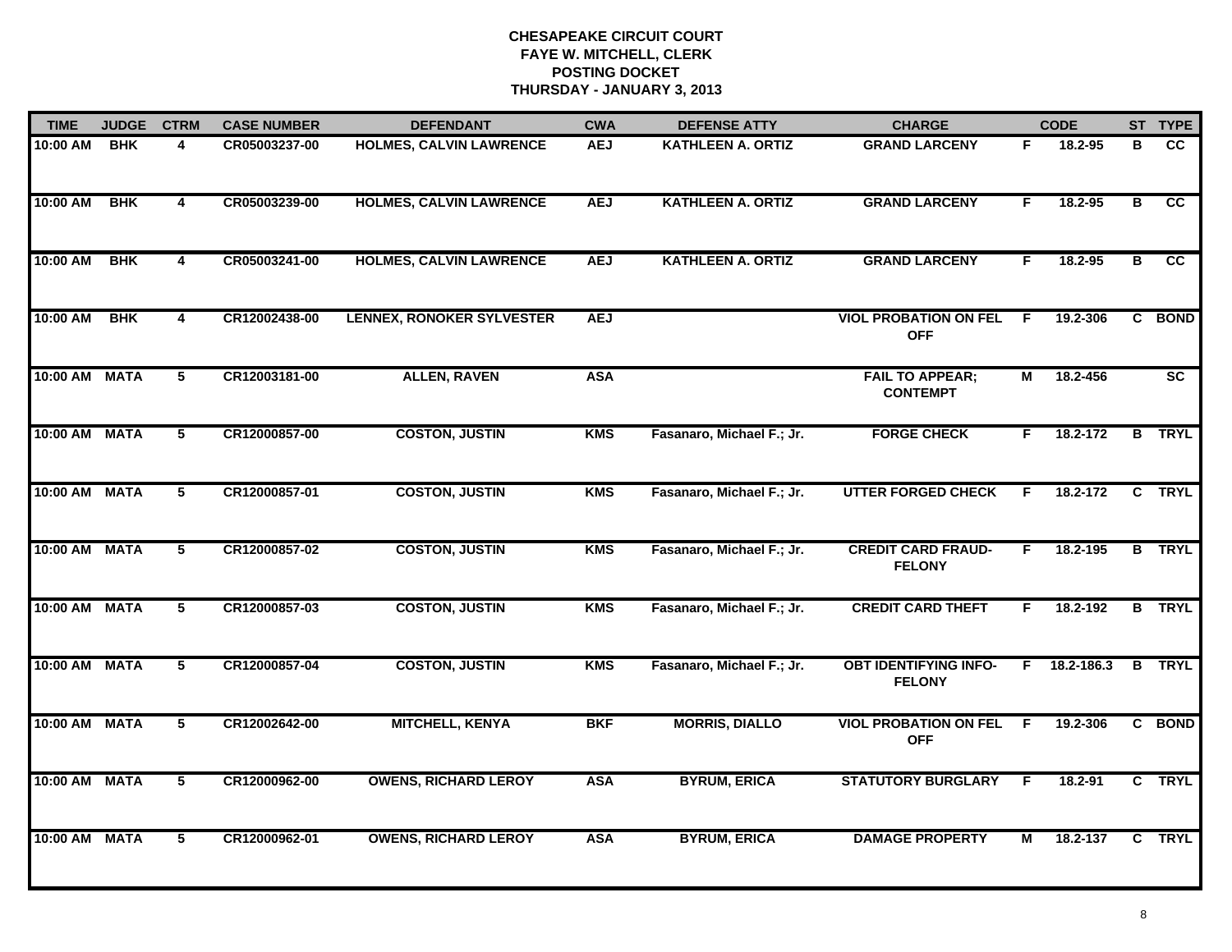| <b>TIME</b>   | <b>JUDGE</b> | <b>CTRM</b>             | <b>CASE NUMBER</b> | <b>DEFENDANT</b>                 | <b>CWA</b> | <b>DEFENSE ATTY</b>       | <b>CHARGE</b>                                 |    | <b>CODE</b>    |   | ST TYPE         |
|---------------|--------------|-------------------------|--------------------|----------------------------------|------------|---------------------------|-----------------------------------------------|----|----------------|---|-----------------|
| 10:00 AM      | <b>BHK</b>   | 4                       | CR05003237-00      | <b>HOLMES, CALVIN LAWRENCE</b>   | <b>AEJ</b> | <b>KATHLEEN A. ORTIZ</b>  | <b>GRAND LARCENY</b>                          | F. | 18.2-95        | в | $\overline{cc}$ |
| 10:00 AM      | <b>BHK</b>   | $\overline{\mathbf{4}}$ | CR05003239-00      | <b>HOLMES, CALVIN LAWRENCE</b>   | <b>AEJ</b> | <b>KATHLEEN A. ORTIZ</b>  | <b>GRAND LARCENY</b>                          | F. | 18.2-95        | В | <b>CC</b>       |
| 10:00 AM      | <b>BHK</b>   | $\overline{\mathbf{4}}$ | CR05003241-00      | <b>HOLMES, CALVIN LAWRENCE</b>   | <b>AEJ</b> | <b>KATHLEEN A. ORTIZ</b>  | <b>GRAND LARCENY</b>                          | F. | 18.2-95        | В | cc              |
| 10:00 AM      | <b>BHK</b>   | 4                       | CR12002438-00      | <b>LENNEX, RONOKER SYLVESTER</b> | <b>AEJ</b> |                           | <b>VIOL PROBATION ON FEL</b><br><b>OFF</b>    | F. | 19.2-306       |   | C BOND          |
| 10:00 AM MATA |              | 5                       | CR12003181-00      | <b>ALLEN, RAVEN</b>              | <b>ASA</b> |                           | <b>FAIL TO APPEAR;</b><br><b>CONTEMPT</b>     | М  | 18.2-456       |   | <b>SC</b>       |
| 10:00 AM MATA |              | 5                       | CR12000857-00      | <b>COSTON, JUSTIN</b>            | <b>KMS</b> | Fasanaro, Michael F.; Jr. | <b>FORGE CHECK</b>                            | F. | 18.2-172       |   | <b>B</b> TRYL   |
| 10:00 AM MATA |              | 5                       | CR12000857-01      | <b>COSTON, JUSTIN</b>            | <b>KMS</b> | Fasanaro, Michael F.; Jr. | <b>UTTER FORGED CHECK</b>                     | F  | 18.2-172       | C | <b>TRYL</b>     |
| 10:00 AM      | <b>MATA</b>  | $5\overline{ }$         | CR12000857-02      | <b>COSTON, JUSTIN</b>            | <b>KMS</b> | Fasanaro, Michael F.; Jr. | <b>CREDIT CARD FRAUD-</b><br><b>FELONY</b>    | F. | 18.2-195       |   | <b>B</b> TRYL   |
| 10:00 AM      | <b>MATA</b>  | 5                       | CR12000857-03      | <b>COSTON, JUSTIN</b>            | <b>KMS</b> | Fasanaro, Michael F.; Jr. | <b>CREDIT CARD THEFT</b>                      | F. | 18.2-192       |   | <b>B</b> TRYL   |
| 10:00 AM      | <b>MATA</b>  | 5                       | CR12000857-04      | <b>COSTON, JUSTIN</b>            | <b>KMS</b> | Fasanaro, Michael F.; Jr. | <b>OBT IDENTIFYING INFO-</b><br><b>FELONY</b> |    | $F$ 18.2-186.3 |   | <b>B</b> TRYL   |
| 10:00 AM MATA |              | 5                       | CR12002642-00      | <b>MITCHELL, KENYA</b>           | <b>BKF</b> | <b>MORRIS, DIALLO</b>     | <b>VIOL PROBATION ON FEL F</b><br><b>OFF</b>  |    | 19.2-306       |   | C BOND          |
| 10:00 AM      | <b>MATA</b>  | 5                       | CR12000962-00      | <b>OWENS, RICHARD LEROY</b>      | <b>ASA</b> | <b>BYRUM, ERICA</b>       | <b>STATUTORY BURGLARY</b>                     | -F | 18.2-91        |   | C TRYL          |
| 10:00 AM      | <b>MATA</b>  | $\overline{5}$          | CR12000962-01      | <b>OWENS, RICHARD LEROY</b>      | <b>ASA</b> | <b>BYRUM, ERICA</b>       | <b>DAMAGE PROPERTY</b>                        | М  | 18.2-137       |   | C TRYL          |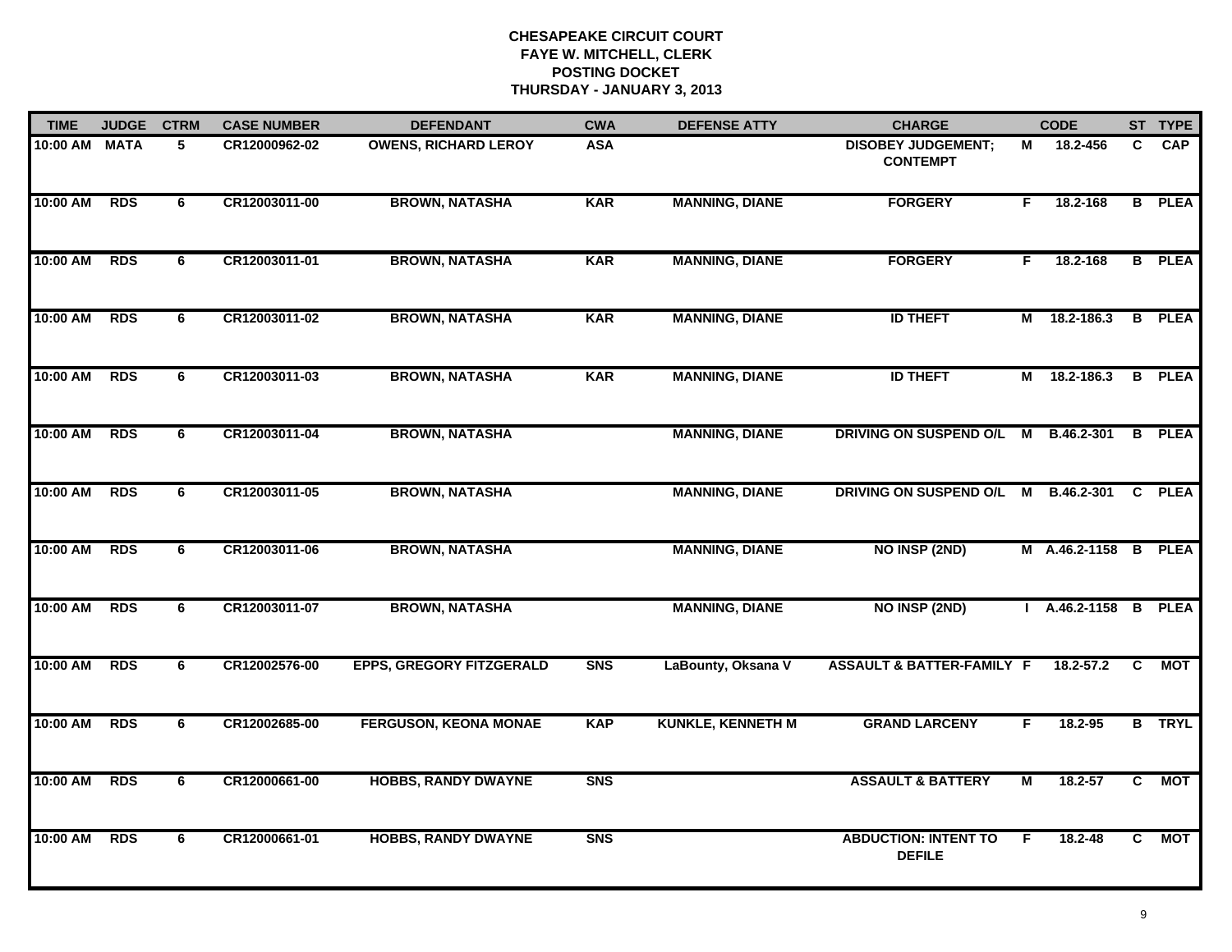| <b>TIME</b>   | <b>JUDGE</b> | <b>CTRM</b> | <b>CASE NUMBER</b> | <b>DEFENDANT</b>                | <b>CWA</b>     | <b>DEFENSE ATTY</b>      | <b>CHARGE</b>                                |    | <b>CODE</b>          |              | ST TYPE       |
|---------------|--------------|-------------|--------------------|---------------------------------|----------------|--------------------------|----------------------------------------------|----|----------------------|--------------|---------------|
| 10:00 AM MATA |              | 5           | CR12000962-02      | <b>OWENS, RICHARD LEROY</b>     | <b>ASA</b>     |                          | <b>DISOBEY JUDGEMENT;</b><br><b>CONTEMPT</b> | м  | 18.2-456             | C.           | <b>CAP</b>    |
| 10:00 AM      | <b>RDS</b>   | 6           | CR12003011-00      | <b>BROWN, NATASHA</b>           | <b>KAR</b>     | <b>MANNING, DIANE</b>    | <b>FORGERY</b>                               | F. | 18.2-168             |              | <b>B</b> PLEA |
| 10:00 AM      | <b>RDS</b>   | 6           | CR12003011-01      | <b>BROWN, NATASHA</b>           | <b>KAR</b>     | <b>MANNING, DIANE</b>    | <b>FORGERY</b>                               | F. | 18.2-168             |              | <b>B</b> PLEA |
| 10:00 AM      | <b>RDS</b>   | 6           | CR12003011-02      | <b>BROWN, NATASHA</b>           | <b>KAR</b>     | <b>MANNING, DIANE</b>    | <b>ID THEFT</b>                              | M  | 18.2-186.3           |              | <b>B</b> PLEA |
| 10:00 AM      | <b>RDS</b>   | 6           | CR12003011-03      | <b>BROWN, NATASHA</b>           | <b>KAR</b>     | <b>MANNING, DIANE</b>    | <b>ID THEFT</b>                              |    | M 18.2-186.3         |              | <b>B</b> PLEA |
| 10:00 AM RDS  |              | 6           | CR12003011-04      | <b>BROWN, NATASHA</b>           |                | <b>MANNING, DIANE</b>    | DRIVING ON SUSPEND O/L M B.46.2-301          |    |                      |              | <b>B</b> PLEA |
| 10:00 AM      | <b>RDS</b>   | 6           | CR12003011-05      | <b>BROWN, NATASHA</b>           |                | <b>MANNING, DIANE</b>    | DRIVING ON SUSPEND O/L M B.46.2-301          |    |                      | $\mathbf{C}$ | <b>PLEA</b>   |
| 10:00 AM      | <b>RDS</b>   | 6           | CR12003011-06      | <b>BROWN, NATASHA</b>           |                | <b>MANNING, DIANE</b>    | <b>NO INSP (2ND)</b>                         |    | M A.46.2-1158 B PLEA |              |               |
| 10:00 AM      | <b>RDS</b>   | 6           | CR12003011-07      | <b>BROWN, NATASHA</b>           |                | <b>MANNING, DIANE</b>    | <b>NO INSP (2ND)</b>                         |    | A.46.2-1158 B PLEA   |              |               |
| 10:00 AM      | <b>RDS</b>   | 6           | CR12002576-00      | <b>EPPS, GREGORY FITZGERALD</b> | S <sub>N</sub> | LaBounty, Oksana V       | <b>ASSAULT &amp; BATTER-FAMILY F</b>         |    | $18.2 - 57.2$        | C            | <b>MOT</b>    |
| 10:00 AM RDS  |              | 6           | CR12002685-00      | <b>FERGUSON, KEONA MONAE</b>    | <b>KAP</b>     | <b>KUNKLE, KENNETH M</b> | <b>GRAND LARCENY</b>                         | F. | 18.2-95              |              | <b>B</b> TRYL |
| 10:00 AM RDS  |              | 6           | CR12000661-00      | <b>HOBBS, RANDY DWAYNE</b>      | <b>SNS</b>     |                          | <b>ASSAULT &amp; BATTERY</b>                 | М  | 18.2-57              | C            | <b>MOT</b>    |
| 10:00 AM      | <b>RDS</b>   | 6           | CR12000661-01      | <b>HOBBS, RANDY DWAYNE</b>      | <b>SNS</b>     |                          | <b>ABDUCTION: INTENT TO</b><br><b>DEFILE</b> | F  | 18.2-48              | C            | <b>MOT</b>    |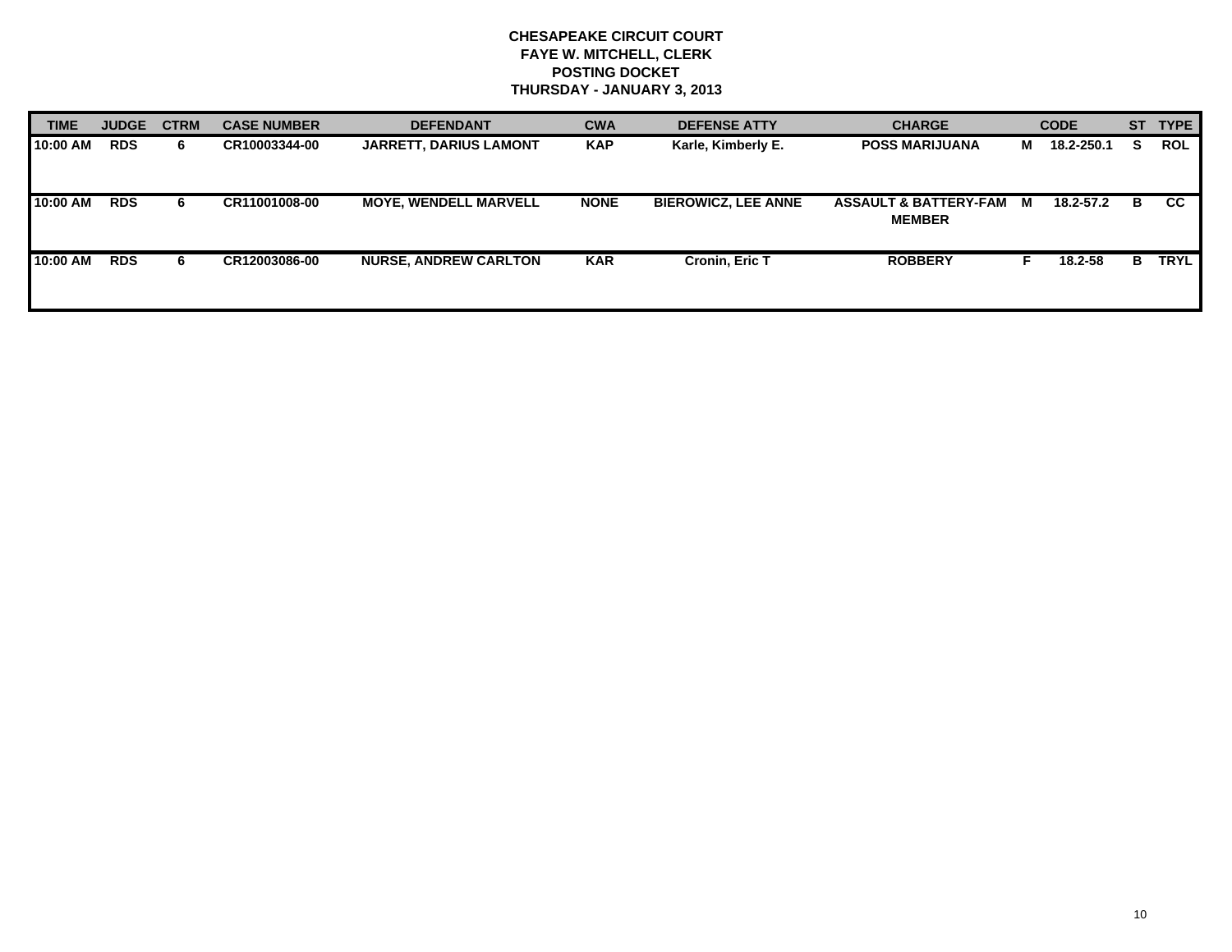| <b>TIME</b> | <b>JUDGE</b> | <b>CTRM</b> | <b>CASE NUMBER</b> | <b>DEFENDANT</b>              | <b>CWA</b>  | <b>DEFENSE ATTY</b>        | <b>CHARGE</b>                                     |   | <b>CODE</b> |    | ST TYPE     |
|-------------|--------------|-------------|--------------------|-------------------------------|-------------|----------------------------|---------------------------------------------------|---|-------------|----|-------------|
| 10:00 AM    | <b>RDS</b>   | 6.          | CR10003344-00      | <b>JARRETT, DARIUS LAMONT</b> | <b>KAP</b>  | Karle, Kimberly E.         | <b>POSS MARIJUANA</b>                             | M | 18.2-250.1  | S. | <b>ROL</b>  |
| 10:00 AM    | <b>RDS</b>   | 6.          | CR11001008-00      | <b>MOYE, WENDELL MARVELL</b>  | <b>NONE</b> | <b>BIEROWICZ, LEE ANNE</b> | <b>ASSAULT &amp; BATTERY-FAM</b><br><b>MEMBER</b> | M | 18.2-57.2   | B  | <b>CC</b>   |
| 10:00 AM    | <b>RDS</b>   | 6           | CR12003086-00      | <b>NURSE, ANDREW CARLTON</b>  | <b>KAR</b>  | Cronin, Eric T             | <b>ROBBERY</b>                                    |   | 18.2-58     | в  | <b>TRYL</b> |